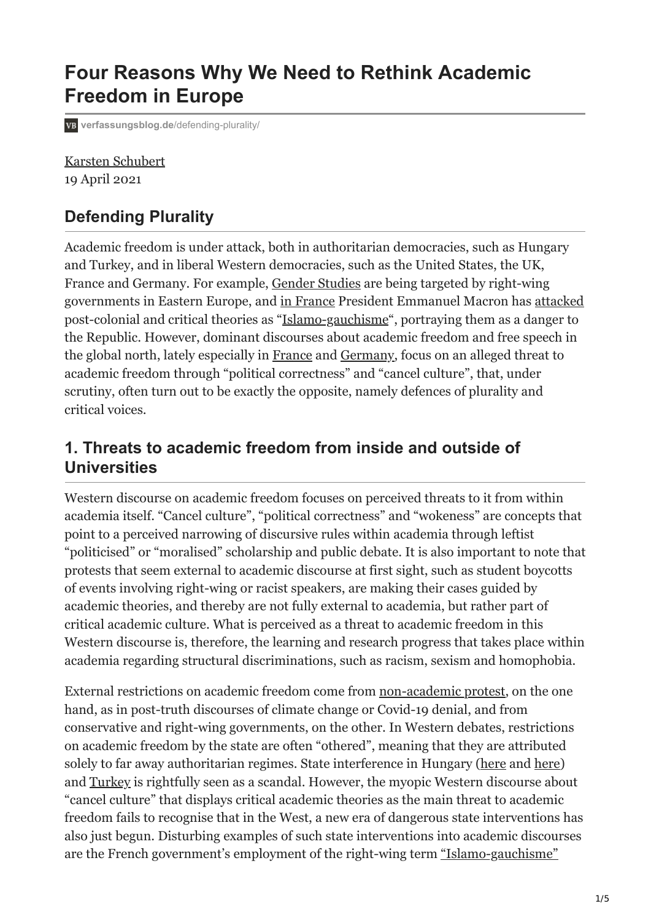# **Four Reasons Why We Need to Rethink Academic Freedom in Europe**

**[verfassungsblog.de](https://verfassungsblog.de/defending-plurality/)**/defending-plurality/

[Karsten Schubert](https://verfassungsblog.de/author/karsten-schubert/) 19 April 2021

### **Defending Plurality**

Academic freedom is under attack, both in authoritarian democracies, such as Hungary and Turkey, and in liberal Western democracies, such as the United States, the UK, France and Germany. For example, [Gender Studies](https://publicseminar.org/2018/11/hungarys-attack-on-gender-studies/) are being targeted by right-wing governments in Eastern Europe, and [in France](https://www.washingtonpost.com/world/2021/02/22/france-macron-islamo-leftism/) President Emmanuel Macron has [attacked](https://verfassungsblog.de/a-witch-hunt-in-french-universities/) post-colonial and critical theories as "[Islamo-gauchisme"](https://verfassungsblog.de/academic-freedom-the-republic-and-islamo-leftism/), portraying them as a danger to the Republic. However, dominant discourses about academic freedom and free speech in the global north, lately especially in [France](https://manifestedes90.wixsite.com/monsite/accueil-1) and [Germany,](https://www.netzwerk-wissenschaftsfreiheit.de/en/about-us/manifesto/) focus on an alleged threat to academic freedom through "political correctness" and "cancel culture", that, under scrutiny, often turn out to be exactly the opposite, namely defences of plurality and critical voices.

#### **1. Threats to academic freedom from inside and outside of Universities**

Western discourse on academic freedom focuses on perceived threats to it from within academia itself. "Cancel culture", "political correctness" and "wokeness" are concepts that point to a perceived narrowing of discursive rules within academia through leftist "politicised" or "moralised" scholarship and public debate. It is also important to note that protests that seem external to academic discourse at first sight, such as student boycotts of events involving right-wing or racist speakers, are making their cases guided by academic theories, and thereby are not fully external to academia, but rather part of critical academic culture. What is perceived as a threat to academic freedom in this Western discourse is, therefore, the learning and research progress that takes place within academia regarding structural discriminations, such as racism, sexism and homophobia.

External restrictions on academic freedom come from [non-academic protest](https://theintercept.com/2021/04/10/campus-reform-koch-young-americans-for-freedom-leadership-institute/), on the one hand, as in post-truth discourses of climate change or Covid-19 denial, and from conservative and right-wing governments, on the other. In Western debates, restrictions on academic freedom by the state are often "othered", meaning that they are attributed solely to far away authoritarian regimes. State interference in Hungary ([here](https://verfassungsblog.de/aux-armes-comediens/) and [here](https://www.hrw.org/news/2020/09/03/hungary-continues-attacks-academic-freedom)) and [Turkey](https://www.hrw.org/news/2018/05/14/turkey-government-targeting-academics) is rightfully seen as a scandal. However, the myopic Western discourse about "cancel culture" that displays critical academic theories as the main threat to academic freedom fails to recognise that in the West, a new era of dangerous state interventions has also just begun. Disturbing examples of such state interventions into academic discourses are the French government's employment of the right-wing term ["Islamo-gauchisme"](https://www.opendemocracy.net/en/can-europe-make-it/open-letter-the-threat-of-academic-authoritarianism-international-solidarity-with-antiracist-academics-in-france/)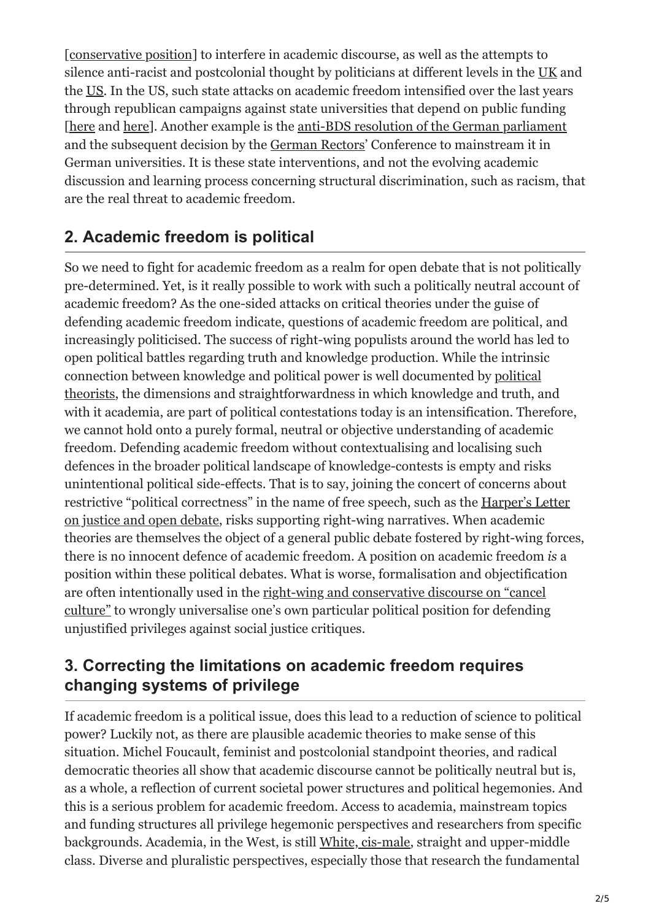[\[conservative position\]](https://www.opendemocracy.net/en/can-europe-make-it/open-letter-response-100-french-scholars/) to interfere in academic discourse, as well as the attempts to silence anti-racist and postcolonial thought by politicians at different levels in the [UK](https://www.independent.co.uk/voices/critical-race-theory-racism-kemi-badenoch-black-history-month-bame-discrimination-b1227367.html) and the [US.](https://www.mississippifreepress.org/7518/um-fires-history-professor-who-criticizes-powerful-racist-donors-and-carceral-state/) In the US, such state attacks on academic freedom intensified over the last years through republican campaigns against state universities that depend on public funding [[here](https://floridapolitics.com/archives/411057-spencer-roachs-bill-to-require-ideological-survey-of-professors-clears-final-committee) and [here\]](https://www.pewresearch.org/social-trends/2019/08/19/the-growing-partisan-divide-in-views-of-higher-education-2/). Another example is the [anti-BDS resolution of the German parliament](https://www.haaretz.com/embeds/pdf_upload/2019/20190516-185634.pdf) and the subsequent decision by the [German Rectors'](https://www.hrk.de/resolutions-publications/resolutions/beschluss/detail/no-place-for-anti-semitism/) Conference to mainstream it in German universities. It is these state interventions, and not the evolving academic discussion and learning process concerning structural discrimination, such as racism, that are the real threat to academic freedom.

## **2. Academic freedom is political**

So we need to fight for academic freedom as a realm for open debate that is not politically pre-determined. Yet, is it really possible to work with such a politically neutral account of academic freedom? As the one-sided attacks on critical theories under the guise of defending academic freedom indicate, questions of academic freedom are political, and increasingly politicised. The success of right-wing populists around the world has led to open political battles regarding truth and knowledge production. While the intrinsic [connection between knowledge and political power is well documented by political](https://press.uchicago.edu/ucp/books/book/chicago/F/bo3684463.html) theorists, the dimensions and straightforwardness in which knowledge and truth, and with it academia, are part of political contestations today is an intensification. Therefore, we cannot hold onto a purely formal, neutral or objective understanding of academic freedom. Defending academic freedom without contextualising and localising such defences in the broader political landscape of knowledge-contests is empty and risks unintentional political side-effects. That is to say, joining the concert of concerns about [restrictive "political correctness" in the name of free speech, such as the Harper's Letter](https://harpers.org/a-letter-on-justice-and-open-debate/) on justice and open debate, risks supporting right-wing narratives. When academic theories are themselves the object of a general public debate fostered by right-wing forces, there is no innocent defence of academic freedom. A position on academic freedom *is* a position within these political debates. What is worse, formalisation and objectification are often intentionally used in the right-wing and conservative discourse on "cancel [culture" to wrongly universalise one's own particular political position for defending](https://www.karstenschubert.net/en/news/21-03-cancel-culture-this-is-germany-video-die-debatte-interview/) unjustified privileges against social justice critiques.

### **3. Correcting the limitations on academic freedom requires changing systems of privilege**

If academic freedom is a political issue, does this lead to a reduction of science to political power? Luckily not, as there are plausible academic theories to make sense of this situation. Michel Foucault, feminist and postcolonial standpoint theories, and radical democratic theories all show that academic discourse cannot be politically neutral but is, as a whole, a reflection of current societal power structures and political hegemonies. And this is a serious problem for academic freedom. Access to academia, mainstream topics and funding structures all privilege hegemonic perspectives and researchers from specific backgrounds. Academia, in the West, is still [White, cis-male](https://www.washingtonpost.com/news/speaking-of-science/wp/2017/07/16/feminist-scientists-say-citing-research-by-straight-white-men-promotes-a-system-of-oppression/), straight and upper-middle class. Diverse and pluralistic perspectives, especially those that research the fundamental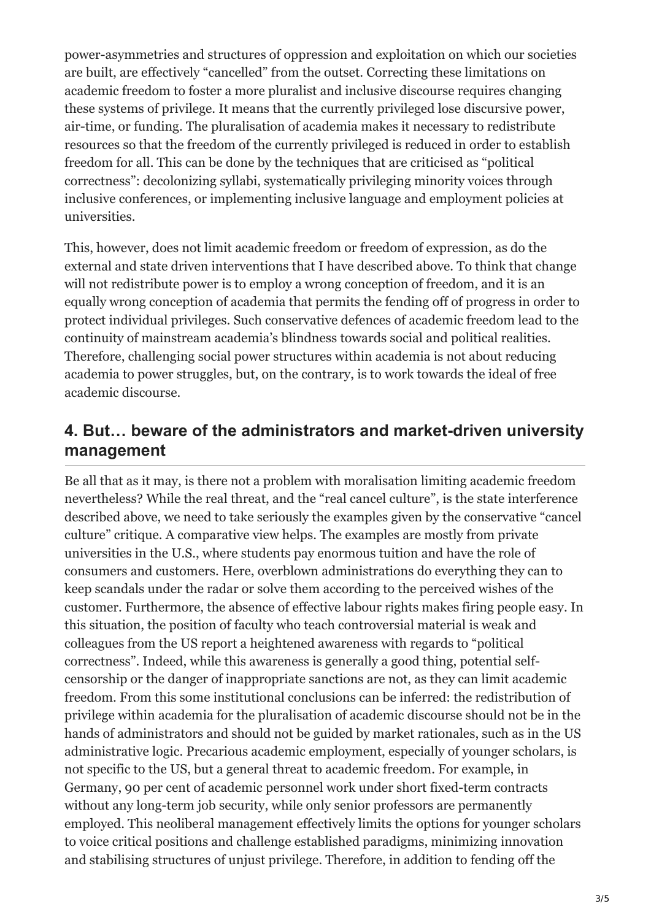power-asymmetries and structures of oppression and exploitation on which our societies are built, are effectively "cancelled" from the outset. Correcting these limitations on academic freedom to foster a more pluralist and inclusive discourse requires changing these systems of privilege. It means that the currently privileged lose discursive power, air-time, or funding. The pluralisation of academia makes it necessary to redistribute resources so that the freedom of the currently privileged is reduced in order to establish freedom for all. This can be done by the techniques that are criticised as "political correctness": decolonizing syllabi, systematically privileging minority voices through inclusive conferences, or implementing inclusive language and employment policies at universities.

This, however, does not limit academic freedom or freedom of expression, as do the external and state driven interventions that I have described above. To think that change will not redistribute power is to employ a wrong conception of freedom, and it is an equally wrong conception of academia that permits the fending off of progress in order to protect individual privileges. Such conservative defences of academic freedom lead to the continuity of mainstream academia's blindness towards social and political realities. Therefore, challenging social power structures within academia is not about reducing academia to power struggles, but, on the contrary, is to work towards the ideal of free academic discourse.

#### **4. But… beware of the administrators and market-driven university management**

Be all that as it may, is there not a problem with moralisation limiting academic freedom nevertheless? While the real threat, and the "real cancel culture", is the state interference described above, we need to take seriously the examples given by the conservative "cancel culture" critique. A comparative view helps. The examples are mostly from private universities in the U.S., where students pay enormous tuition and have the role of consumers and customers. Here, overblown administrations do everything they can to keep scandals under the radar or solve them according to the perceived wishes of the customer. Furthermore, the absence of effective labour rights makes firing people easy. In this situation, the position of faculty who teach controversial material is weak and colleagues from the US report a heightened awareness with regards to "political correctness". Indeed, while this awareness is generally a good thing, potential selfcensorship or the danger of inappropriate sanctions are not, as they can limit academic freedom. From this some institutional conclusions can be inferred: the redistribution of privilege within academia for the pluralisation of academic discourse should not be in the hands of administrators and should not be guided by market rationales, such as in the US administrative logic. Precarious academic employment, especially of younger scholars, is not specific to the US, but a general threat to academic freedom. For example, in Germany, 90 per cent of academic personnel work under short fixed-term contracts without any long-term job security, while only senior professors are permanently employed. This neoliberal management effectively limits the options for younger scholars to voice critical positions and challenge established paradigms, minimizing innovation and stabilising structures of unjust privilege. Therefore, in addition to fending off the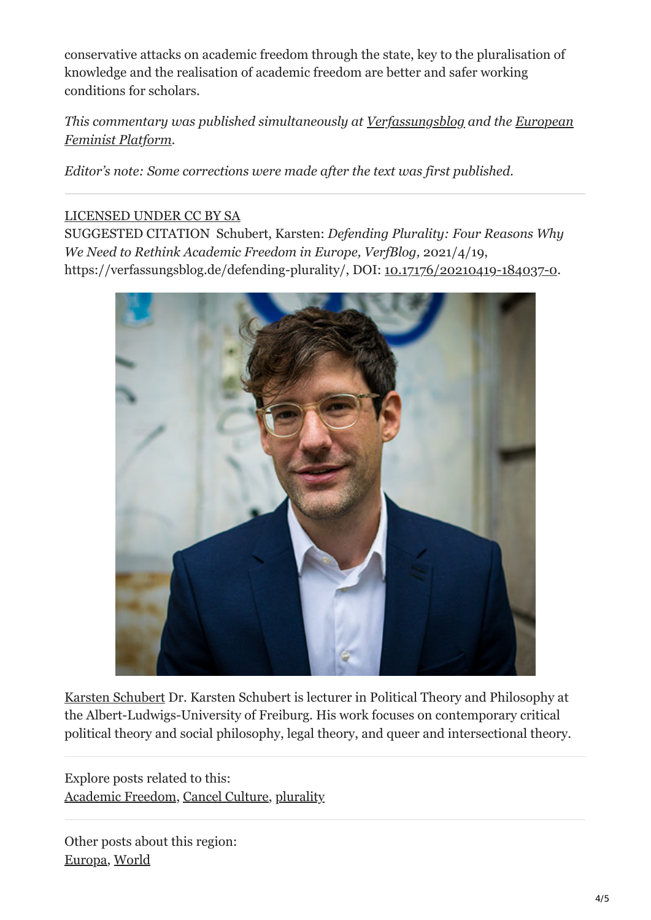conservative attacks on academic freedom through the state, key to the pluralisation of knowledge and the realisation of academic freedom are better and safer working conditions for scholars.

#### *[This commentary was published simultaneously at](https://eu.boell.org/en/european-feminist-platform) [Verfassungsblo](https://verfassungsblog.de/)[g and the European](https://eu.boell.org/en/european-feminist-platform) Feminist Platform.*

*Editor's note: Some corrections were made after the text was first published.*

#### [LICENSED UNDER CC BY SA](https://creativecommons.org/licenses/by-sa/4.0//legalcode)

SUGGESTED CITATION Schubert, Karsten: *Defending Plurality: Four Reasons Why We Need to Rethink Academic Freedom in Europe, VerfBlog,* 2021/4/19, https://verfassungsblog.de/defending-plurality/, DOI: [10.17176/20210419-184037-0](https://dx.doi.org/10.17176/20210419-184037-0).



[Karsten Schubert](https://verfassungsblog.de/author/karsten-schubert/) Dr. Karsten Schubert is lecturer in Political Theory and Philosophy at the Albert-Ludwigs-University of Freiburg. His work focuses on contemporary critical political theory and social philosophy, legal theory, and queer and intersectional theory.

Explore posts related to this: [Academic Freedom](https://verfassungsblog.de/tag/academic-freedom/), [Cancel Culture,](https://verfassungsblog.de/tag/cancel-culture/) [plurality](https://verfassungsblog.de/tag/plurality/)

Other posts about this region: [Europa](https://verfassungsblog.de/category/regionen/europe/), [World](https://verfassungsblog.de/category/regionen/world/)